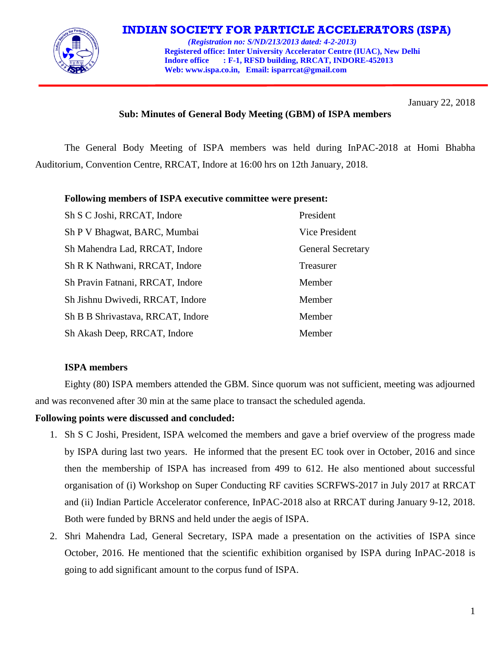

# **INDIAN SOCIETY FOR PARTICLE ACCELERATORS (ISPA)**

 *(Registration no: S/ND/213/2013 dated: 4-2-2013)*  **Registered office: Inter University Accelerator Centre (IUAC), New Delhi Indore office : F-1, RFSD building, RRCAT, INDORE-452013 Web[: www.ispa.co.in,](http://www.ispa.org.in/) Email: isparrcat@gmail.com**

January 22, 2018

# **Sub: Minutes of General Body Meeting (GBM) of ISPA members**

The General Body Meeting of ISPA members was held during InPAC-2018 at Homi Bhabha Auditorium, Convention Centre, RRCAT, Indore at 16:00 hrs on 12th January, 2018.

#### **Following members of ISPA executive committee were present:**

| Sh S C Joshi, RRCAT, Indore       | President                |
|-----------------------------------|--------------------------|
| Sh P V Bhagwat, BARC, Mumbai      | Vice President           |
| Sh Mahendra Lad, RRCAT, Indore    | <b>General Secretary</b> |
| Sh R K Nathwani, RRCAT, Indore    | Treasurer                |
| Sh Pravin Fatnani, RRCAT, Indore  | Member                   |
| Sh Jishnu Dwivedi, RRCAT, Indore  | Member                   |
| Sh B B Shrivastava, RRCAT, Indore | Member                   |
| Sh Akash Deep, RRCAT, Indore      | Member                   |

## **ISPA members**

Eighty (80) ISPA members attended the GBM. Since quorum was not sufficient, meeting was adjourned and was reconvened after 30 min at the same place to transact the scheduled agenda.

## **Following points were discussed and concluded:**

- 1. Sh S C Joshi, President, ISPA welcomed the members and gave a brief overview of the progress made by ISPA during last two years. He informed that the present EC took over in October, 2016 and since then the membership of ISPA has increased from 499 to 612. He also mentioned about successful organisation of (i) Workshop on Super Conducting RF cavities SCRFWS-2017 in July 2017 at RRCAT and (ii) Indian Particle Accelerator conference, InPAC-2018 also at RRCAT during January 9-12, 2018. Both were funded by BRNS and held under the aegis of ISPA.
- 2. Shri Mahendra Lad, General Secretary, ISPA made a presentation on the activities of ISPA since October, 2016. He mentioned that the scientific exhibition organised by ISPA during InPAC-2018 is going to add significant amount to the corpus fund of ISPA.